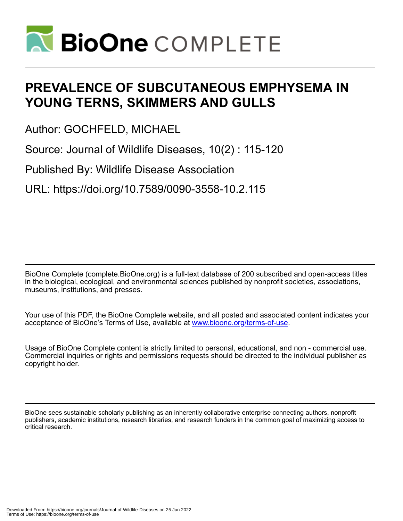

# **PREVALENCE OF SUBCUTANEOUS EMPHYSEMA IN YOUNG TERNS, SKIMMERS AND GULLS**

Author: GOCHFELD, MICHAEL

Source: Journal of Wildlife Diseases, 10(2) : 115-120

Published By: Wildlife Disease Association

URL: https://doi.org/10.7589/0090-3558-10.2.115

BioOne Complete (complete.BioOne.org) is a full-text database of 200 subscribed and open-access titles in the biological, ecological, and environmental sciences published by nonprofit societies, associations, museums, institutions, and presses.

Your use of this PDF, the BioOne Complete website, and all posted and associated content indicates your acceptance of BioOne's Terms of Use, available at www.bioone.org/terms-of-use.

Usage of BioOne Complete content is strictly limited to personal, educational, and non - commercial use. Commercial inquiries or rights and permissions requests should be directed to the individual publisher as copyright holder.

BioOne sees sustainable scholarly publishing as an inherently collaborative enterprise connecting authors, nonprofit publishers, academic institutions, research libraries, and research funders in the common goal of maximizing access to critical research.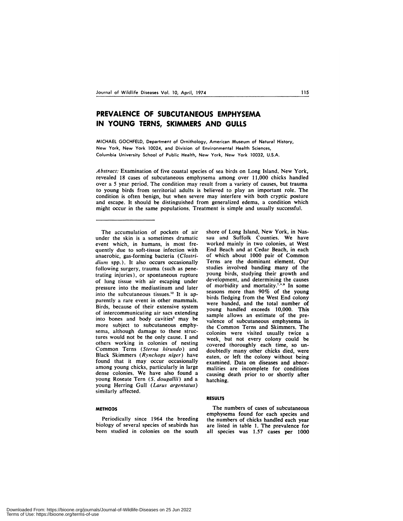# **PREVALENCE OF SUBCUTANEOUS EMPHYSEMA IN YOUNG TERNS, SKIMMERS AND GULLS**

MICHAEL GOCHFELD, Department of Ornithology, American Museum of Natural History, New York, New York 10024, and Division of Environmental Health Sciences, Columbia University School of Public Health, New York, New York 10032, U.S.A.

*A bstract:* Examination of five coastal species of sea birds on Long Island, New York, revealed 18 cases of subcutaneous emphysema among over 11,000 chicks handled over a 5 year period. The condition may result from a variety of causes, but trauma to young birds from territorial adults is believed to play an important role. The condition is often benign, but when severe may interfere with both cryptic posture and escape. It should be distinguished from generalized edema, a condition which might occur in the same populations. Treatment is simple and usually successful.

The accumulation of pockets of air under the skin is a sometimes dramatic event which, in humans, is most frequently due to soft-tissue infection with anaerobic, gas-forming bacteria *(Clostri diwn* spp.). It also occurs occasionally following surgery, trauma (such as penetrating injuries), or spontaneous rupture of lung tissue with air escaping under pressure into the mediastinum and later into the subcutaneous tissues.<sup>12</sup> It is apparently a rare event in other mammals. Birds, because of their extensive system of intercommunicating air sacs extending into bones and body cavities' may be more subject to subcutaneous emphy sema, although damage to these structures would not be the only cause. I and others working in colonies of nesting Common Terns *(Sterna hirundo)* and Black Skimmers *(Rynchops niger)* have found that it may occur occasionally among young chicks, particularly in large dense colonies. We have also found a young Roseate Tern *(S. dougallii)* and a young Herring Gull *(Larus argentatus)* similarly affected.

# **METHODS**

Periodically since 1964 the breeding biology of several species of seabirds has been studied in colonies on the south shore of Long Island, New York, in Nassau and Suffolk Counties. We have worked mainly in two colonies, at West End Beach and at Cedar Beach, in each of which about 1000 pair of Common Terns are the dominant element. Our studies involved banding many of the young birds, studying their growth and development, and determining the causes of morbidity and mortality.<sup>7,8,9</sup> In some seasons more than 90% of the young birds fledging from the West End colony were banded, and the total number of young handled exceeds 10,000. This sample allows an estimate of the prevalence of subcutaneous emphysema in the Common Terns and Skimmers. The colonies were visited usually twice a week, but not every colony could be covered thoroughly each time, so un doubtedly many other chicks died, were eaten, or left the colony without being examined. Data on diseases and abnormalities are incomplete for conditions causing death prior to or shortly after hatching.

## **RESULTS**

The numbers of cases of subcutaneous emphysema found for each species and the numbers of chicks handled each year are listed in table 1. The prevalence for all species was 1.57 cases per 1000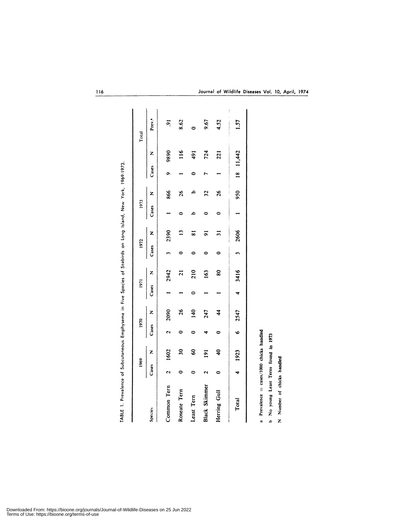| Z<br>Cases |            |                    |
|------------|------------|--------------------|
|            | Z<br>Cases | Prev. <sup>a</sup> |
| 866        | 9890<br>۰  | $\ddot{9}$         |
| 26<br>0    | 116        | 8.62               |
| ء<br>م     | 491<br>⊂   | 0                  |
| 32<br>0    | 724        | 9.67               |
| 26<br>0    | 221        | 4.52               |
| 950        |            | 1.57               |
|            |            | $18$ 11,442        |

| a in Five Species of Seabirds on Long Island |
|----------------------------------------------|
|                                              |
|                                              |
|                                              |
|                                              |
| ---------                                    |
| <b>COSSILIAN</b><br>)<br>)<br>)<br>)         |
|                                              |
|                                              |
|                                              |
|                                              |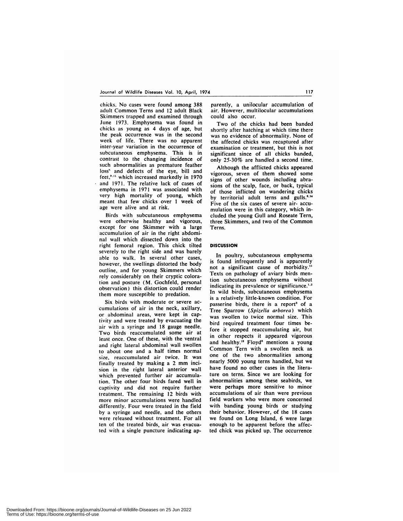chicks. No cases were found among 388 adult Common Terns and 12 adult Black Skimmers trapped and examined through June 1973. Emphysema was found in chicks as young as 4 days of age, but the peak occurrence was in the second week of life. There was no apparent inter-year variation in the occurrence of subcutaneous emphysema. This is in contrast to the changing incidence of such abnormalities as premature feather loss' and defects of the eye, bill and feet,<sup>9,11</sup> which increased markedly in 1970 and 1971. The relative lack of cases of emphysema in 1971 was associated with very high mortality of young, which meant that few chicks over 1 week of age were alive and at risk.

Birds with subcutaneous emphysema were otherwise healthy and vigorous, except for one Skimmer with a large accumulation of air in the right abdomi nal wall which dissected down into the right femoral region. This chick tilted severely to the right side and was barely able to walk. In several other cases, however, the swellings distorted the body outline, and for young Skimmers which rely considerably on their cryptic coloration and posture (M. Gochfeld, personal observation) this distortion could render them more susceptible to predation.

Six birds with moderate or severe ac cumulations of air in the neck, axillary, or abdominal areas, were kept in captivity and were treated by evacuating the air with a syringe and 18 gauge needle. Two birds reaccumulated some air at least once. One of these, with the ventral and right lateral abdominal wall swollen to about one and a half times normal size, reaccumulated air twice. It was finally treated by making a 2 mm incision in the right lateral anterior wall which prevented further air accumulation. The other four birds fared well in captivity and did not require further treatment. The remaining 12 birds with more minor accumulations were handled differently. Four were treated in the field by a syringe and needle, and the others were released without treatment. For all ten of the treated birds, air was evacuated with a single puncture indicating ap-

parently, a unilocular accumulation of air. However, multilocular accumulations could also occur.

Two of the chicks had been banded shortly after hatching at which time there was no evidence of abnormality. None of the affected chicks was recaptured after examination or treatment, but this is not significant since of all chicks banded, only 25-30% are handled a second time.

Although the afflicted chicks appeared vigorous, seven of them showed some signs of other wounds including abra sions of the scalp, face, or back, typical of those inflicted on wandering chicks by territorial adult terns and gulls.<sup>3,14</sup> Five of the six cases of severe air- accu mulation were in this category, which in cluded the young Gull and Roseate Tern, three Skimmers, and two of the Common Terns.

### DISCUSSION

In poultry, subcutaneous emphysema is found infrequently and is apparently not a significant cause of morbidity." Texts on pathology of aviary birds mention subcutaneous emphysema without indicating its prevalence or significance.<sup>1,2</sup> In wild birds, subcutaneous emphysema is a relatively little-known condition, For passerine birds, there is a report<sup>3</sup> of a Tree Sparrow *(Spizella arborea)* which was swollen to twice normal size. This bird required treatment four times before it stopped reaccumulating air, but in other respects it appeared vigorous and healthy." Floyd' mentions a young Common Tern with a swollen neck as one of the two abnormalities among nearly 5000 young terns handled, but we have found no other cases in the literature on terns. Since we are looking for abnormalities among these seabirds, we were perhaps more sensitive to minor accumulations of air than were previous field workers who were more concerned with banding young birds or studying their behavior. However, of the 18 cases we found on Long Island, 6 were large enough to be apparent before the affected chick was picked up. The occurrence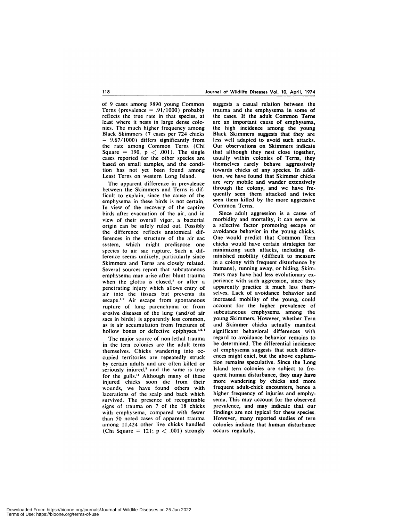of 9 cases among 9890 young Common Terns (prevalence  $= .91/1000$ ) probably reflects the true rate in that species, at least where it nests in large dense colonies. The much higher frequency among Black Skimmers (7 cases per 724 chicks *<sup>=</sup>* 9.67/1000) differs significantly from the rate among Common Terns (Chi Square  $= 190$ ,  $p < .001$ ). The single cases reported for the other species are based on small samples, and the condition has not yet been found among Least Terns on western Long Island.

The apparent difference in prevalence between the Skimmers and Terns is difficult to explain, since the cause of the emphysema in these birds is not certain. In view of the recovery of the captive birds after evacuation of the air, and in view of their overall vigor, a bacterial origin can be safely ruled out. Possibly the difference reflects anatomical differences in the structure of the air sac system, which might predispose one species to air sac rupture. Such a difference seems unlikely, particularly since Skimmers and Terns are closely related. Several sources report that subcutaneous emphysema may arise after blunt trauma when the glottis is closed,<sup>2</sup> or after a penetrating injury which allows entry of air into the tissues but prevents its escape.<sup>1,2</sup> Air escape from spontaneous rupture of lung parenchyma or from erosive diseases of the lung (and/of air sacs in birds) is apparently less common, as is air accumulation from fractures of hollow bones or defective epiphyses.<sup>1,2,4</sup>

The major source of non-lethal trauma in the tern colonies are the adult terns themselves. Chicks wandering into oc cupied territories are repeatedly struck by certain adults and are often killed or seriously injured,<sup>3</sup> and the same is true for the gulls." Although many of these injured chicks soon die from their wounds, we have found others with lacerations of the scalp and back which survived, The presence of recognizable signs of trauma on 7 of the 18 chicks with emphysema, compared with fewer than 50 noted cases of apparent trauma among 11,424 other live chicks handled (Chi Square  $= 121$ ;  $p < .001$ ) strongly suggests a casual relation between the trauma and the emphysema in some of the cases. If the adult Common Terns are an important cause of emphysema, the high incidence among the young Black Skimmers suggests that they are less well adapted to avoid such attacks. Our observations on Skimmers indicate that although they nest close together, usually within colonies of Terns, they themselves rarely behave aggressively towards chicks of any species. In addition, we have found that Skimmer chicks are very mobile and wander extensively through the colony, and we have frequently seen them attacked and twice seen them killed by the more aggressive Common Terns.

Since adult aggression is a cause of morbidity and mortality, it can serve as a selective factor promoting escape or avoidance behavior in the young chicks. One would predict that Common Tern chicks would have certain strategies for minimizing such attacks, including diminished mobility (difficult to measure in a colony with frequent disturbance by humans), running away, or hiding. Skim mers may have had less evolutionary ex perience with such aggression, since they apparently practice it much less themselves. Lack of avoidance behavior and increased mobility of the young, could account for the higher prevalence of subcutaneous emphysema among the young Skimmers. However, whether Tern and Skimmer chicks actually manifest significant behavioral differences with regard to avoidance behavior remains to be determined. The differential incidence of emphysema suggests that such differ ences might exict, but the above explanation remains speculative. Since the Long Island tern colonies are subject to frequent human disturbance, they may have more wandering by chicks and more frequent adult-chick encounters, hence a higher frequency of injuries and emphy sema. This may account for the observed prevalence, and may indicate that our findings are not typical for these species. However, many reported studies of tern colonies indicate that human disturbance occurs regularly.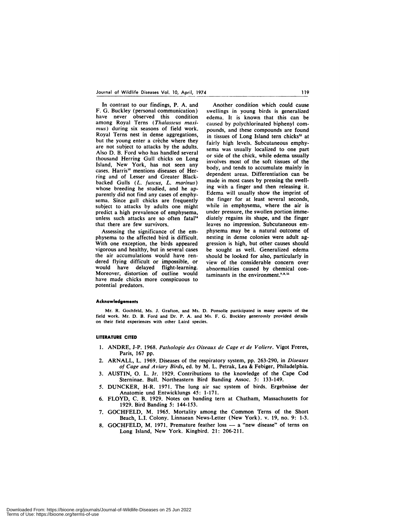In contrast to our findings, P. A. and F. G. Buckley (personal communication) have never observed this condition among Royal Terns *(Thalasseus maxi mus*) during six seasons of field work. Royal Terns nest in dense aggregations, but the young enter a crèche where they are not subject to attacks by the adults. Also D. B. Ford who has handled several thousand Herring Gull chicks on Long Island, New York, has not seen any cases. Harris<sup>10</sup> mentions diseases of Herring and of Lesser and Greater Blackbacked Gulls *(L. fuscus, L. marinus)* whose breeding he studied, and he apparently did not find any cases of emphy sema. Since gull chicks are frequently subject to attacks by adults one might predict a high prevalence of emphysema, unless such attacks are so often fatal'4 that there are few survivors.

Assessing the significance of the em physema to the affected bird is difficult. With one exception, the birds appeared vigorous and healthy, but in several cases the air accumulations would have ren dered flying difficult or impossible, or would have delayed flight-learning. Moreover, distortion of outline would  $_{12}$ have made chicks more conspicuous to potential predators.

Another condition which could cause swellings in young birds is generalized edema, It is known that this can be caused by polychlorinated biphenyl com pounds, and these compounds are found in tissues of Long Island tern chicks" at fairly high levels. Subcutaneous emphy sema was usually localized to one part or side of the chick, while edema usually involves most of the soft tissues of the body, and tends to accumulate mainly in dependent areas. Differentiation can be made in most cases by pressing the swelling with a finger and then releasing it. Edema will usually show the imprint of the finger for at least several seconds, while in emphysema, where the air is under pressure, the swollen portion immediately regains its shape, and the finger leaves no impression. Subcutaneous em physema may be a natural outcome of nesting in dense colonies were adult aggression is high, but other causes should be sought as well. Generalized edema should be looked for also, particularly in view of the considerable concern over abnormalities caused by chemical contaminants in the environment. $8.9.11$ 

#### **Acknowledgements**

Mr. R. Gochfeld, Ms. 5. Grafton, and Ms. D. Ponsolle participated in many aspects of the field work. Mr. D. B. Ford and Dr. P. A. and Ms. F. G. Buckley generously provided details on their field experiences with other Laird species.

#### **LITERATURE CITED**

- 1. ANDRE, J-P. 1968. *Pathologic des Oiseaux de Cage et de Voliere.* Vigot Freres, Paris, 167 pp.
- 2. ARNALL, L. 1969. Diseases of the respiratory system, pp. 263-290, in *Diseases of Cage and A viary Birds,* ed. by M.L. Petrak, Lea & Febiger, Philadelphia.
- 3. AUSTIN, 0. L. Jr. 1929. Contributions to the knowledge of the Cape Cod Sterninae. Bull. Northeastern Bird Banding Assoc. 5: 133-149.
- 5. DUNCKER, H-R. 1971. The lung air sac system of birds. Ergebnisse der Anatomic und Entwicklungs 45: 1-171.
- 6. FLOYD, C. B. 1929. Notes on banding tern at Chatham, Massachusetts for 1929. Bird Banding 5: 144-153.
- 7. GOCHFELD, M. 1965. Mortality among the Common Terns of the Short Beach, LI. Colony. Linnaean News-Letter (New York). v. 19, no. 9: 1-3.
- 8. GOCHFELD, M. 1971. Premature feather loss a "new disease" of terns on Long Island, New York. Kingbird. 21: 206-211.